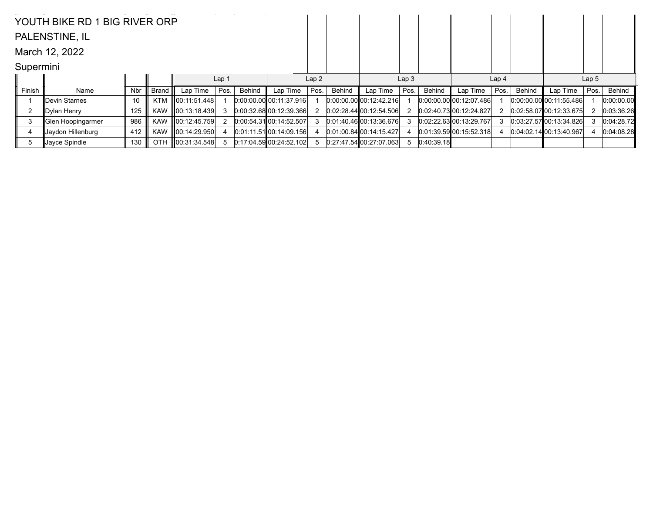|                | YOUTH BIKE RD 1 BIG RIVER ORP |     |            |                    |                  |               |                           |      |        |                           |      |            |                                 |                  |        |                           |                  |            |
|----------------|-------------------------------|-----|------------|--------------------|------------------|---------------|---------------------------|------|--------|---------------------------|------|------------|---------------------------------|------------------|--------|---------------------------|------------------|------------|
|                | PALENSTINE, IL                |     |            |                    |                  |               |                           |      |        |                           |      |            |                                 |                  |        |                           |                  |            |
|                | March 12, 2022                |     |            |                    |                  |               |                           |      |        |                           |      |            |                                 |                  |        |                           |                  |            |
| Supermini      |                               |     |            |                    |                  |               |                           |      |        |                           |      |            |                                 |                  |        |                           |                  |            |
|                |                               |     |            |                    | Lap <sub>1</sub> |               |                           | Lap2 |        | Lap <sub>3</sub>          |      |            |                                 | Lap <sub>4</sub> |        |                           | Lap <sub>5</sub> |            |
| Finish         | Name                          | Nbr | Brand      | Lap Time           | Pos.             | <b>Behind</b> | Lap Time                  | Pos. | Behind | Lap Time                  | Pos. | Behind     | Lap Time                        | Pos.             | Behind | Lap Time                  | Pos.             | Behind     |
|                | Devin Starnes                 | 10  | <b>KTM</b> | 00:11:51.448       |                  |               | $0:00:00.00$ 00:11:37.916 |      |        | $0.00.00$ 00 00:12:42.216 |      |            | $[0:00:00.00]$ $[00:12:07.486]$ |                  |        | $0.00:00.00$ 00:11:55.486 |                  | 0:00:00.00 |
| $\overline{2}$ | Dylan Henry                   | 125 | <b>KAW</b> | $\ 00:13:18.439\ $ |                  |               | $0:00:32.68$ 00:12:39.366 |      |        | 0.02.28.44100.12.54.506   |      |            | 0.02:40.73[00:12:24.827]        |                  |        | 0.02:58.0700:12:33.675    |                  | 0:03:36.26 |
| 3              | ∥Glen Hoopingarmer            | 986 | <b>KAW</b> | 00:12:45.759       |                  |               | 0:00:54.31 00:14:52.507   |      |        | 0.01.40.46000.1336.676    |      |            | 0.02:22.6300:13.29.767          |                  |        | 0.03:27.5700:13:34.826    |                  | 0:04:28.72 |
| 4              | Jaydon Hillenburg             | 412 | <b>KAW</b> | 00:14:29.950       |                  |               | 0:01:11.51 00:14:09.156   |      |        | $0:01:00.84$ 00:14:15.427 |      |            | 0.01:39.59 00:15:52.318         |                  |        | 0.04:02.14100:13:40.967   |                  | 0:04:08.28 |
| 5              | Jayce Spindle                 | 130 | OTH        | $\ 00:31:34.548\ $ | 5                |               | 0:17:04.59 00:24:52.102   |      |        | 0.274754002707063         |      | 0:40:39.18 |                                 |                  |        |                           |                  |            |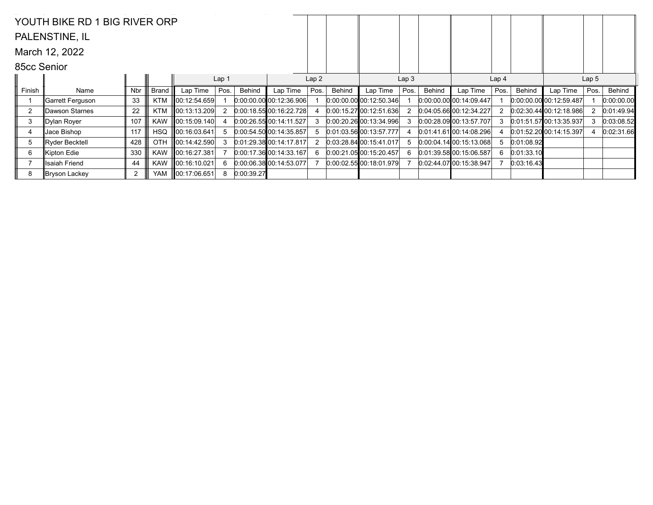|                | YOUTH BIKE RD 1 BIG RIVER ORP |     |            |                    |                  |            |                             |      |        |                           |                  |        |                                 |                  |            |                             |      |            |
|----------------|-------------------------------|-----|------------|--------------------|------------------|------------|-----------------------------|------|--------|---------------------------|------------------|--------|---------------------------------|------------------|------------|-----------------------------|------|------------|
|                | PALENSTINE, IL                |     |            |                    |                  |            |                             |      |        |                           |                  |        |                                 |                  |            |                             |      |            |
|                | March 12, 2022                |     |            |                    |                  |            |                             |      |        |                           |                  |        |                                 |                  |            |                             |      |            |
| 85cc Senior    |                               |     |            |                    |                  |            |                             |      |        |                           |                  |        |                                 |                  |            |                             |      |            |
|                |                               |     |            |                    | Lap <sub>1</sub> |            |                             | Lap2 |        |                           | Lap <sub>3</sub> |        |                                 | Lap <sub>4</sub> |            | Lap <sub>5</sub>            |      |            |
| Finish         | Name                          | Nbr | Brand      | Lap Time           | Pos.             | Behind     | Lap Time                    | Pos. | Behind | Lap Time                  | Pos.             | Behind | Lap Time                        | Pos.             | Behind     | Lap Time                    | Pos. | Behind     |
|                | ∥Garrett Ferguson             | 33  | <b>KTM</b> | 00:12:54.659       |                  |            | 0.00.00.00 00.12.36.906     |      |        | $0:00:00.00$ 00:12:50.346 |                  |        | $[0:00:00.00]$ $[00:14:09.447]$ |                  |            | $[0:00:00.00]$ 00:12:59.487 |      | 0:00:00.00 |
| $\overline{2}$ | ∥Dawson Starnes               | 22  | <b>KTM</b> | 00:13:13.209       | 2                |            | 0.00:18.55100:16:22.728     |      |        | 0.00:15.2700:12:51.636    |                  |        | 0.04:05.6600:12:34.227          |                  |            | $[0.02:30.44]$ 00:12:18.986 |      | 0:01:49.94 |
| 3              | ∥Dylan Royer                  | 107 | <b>KAW</b> | 00:15:09.140       |                  |            | 0.00:26.5500:14:11.527      |      |        | 0.00.20.26000.13.34.996   |                  |        | 0.00:28.0900:13.57.707          | 3                |            | $[0.01.51.57]$ 00:13:35.937 | 3    | 0:03:08.52 |
| 4              | Jace Bishop                   | 117 | <b>HSQ</b> | $\ 00:16:03.641\ $ | 5                |            | 0:00:54.50 00:14:35.857     |      |        | 0:01:03.56 00:13:57.777   |                  |        | $0.01:41.61$ 00:14:08.296       |                  |            | 0.01:52.20[00:14:15.397]    |      | 0:02:31.66 |
| 5              | Ryder Becktell                | 428 | OTH        | 00:14:42.590       | 3                |            | $[0.01:29.38]$ 00:14:17.817 |      |        | 0.03:28.84100:15.41.017   | 5                |        | $0:00.04.14$ 00:15:13.068       | 5                | 0:01:08.92 |                             |      |            |
| 6              | ∥Kipton Edie                  | 330 | <b>KAW</b> | 00:16:27.381       |                  |            | 0.00:17.3600:14:33.167      |      |        | 0:00.21.05000:15.20.457   | 6                |        | 0.01:39.5800:15:06.587          | 6                | 0:01:33.10 |                             |      |            |
|                | ∥Isaiah Friend                | 44  | KAW        | 00:16:10.021       | 6                |            | $[0:00:06.38]$ 00:14:53.077 |      |        | $0:00:02.55$ 00:18:01.979 |                  |        | $0:02:44.07$ 00:15:38.947       |                  | 0:03:16.43 |                             |      |            |
| 8              | Bryson Lackey                 | 2   | YAM        | $\ 00:17:06.651\ $ | 8                | 0:00:39.27 |                             |      |        |                           |                  |        |                                 |                  |            |                             |      |            |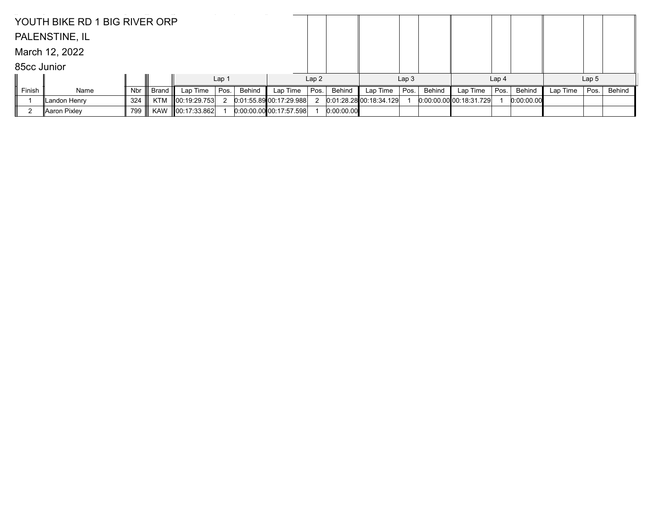|             | YOUTH BIKE RD 1 BIG RIVER ORP |     |            |                    |                  |        |                         |      |            |                         |                  |        |                         |                  |            |          |                  |        |
|-------------|-------------------------------|-----|------------|--------------------|------------------|--------|-------------------------|------|------------|-------------------------|------------------|--------|-------------------------|------------------|------------|----------|------------------|--------|
|             | PALENSTINE, IL                |     |            |                    |                  |        |                         |      |            |                         |                  |        |                         |                  |            |          |                  |        |
|             | March 12, 2022                |     |            |                    |                  |        |                         |      |            |                         |                  |        |                         |                  |            |          |                  |        |
| 85cc Junior |                               |     |            |                    |                  |        |                         |      |            |                         |                  |        |                         |                  |            |          |                  |        |
|             |                               |     |            |                    | Lap <sub>1</sub> |        |                         |      | Lap2       |                         | Lap <sub>3</sub> |        |                         | Lap <sub>4</sub> |            |          | Lap <sub>5</sub> |        |
| Finish      | Name                          | Nbr | Brand      | Lap Time           | Pos.             | Behind | Lap Time                | Pos. | Behind     | Lap Time                | Pos.             | Behind | Lap Time                | Pos.             | Behind     | Lap Time | Pos.             | Behind |
|             | Landon Henry                  | 324 |            | KTM 00:19:29.753   |                  |        | 0:01:55.89 00:17:29.988 |      |            | 0.01.28.28 00.18.34.129 |                  |        | 0.00.00.00000001831.729 |                  | 0:00:00.00 |          |                  |        |
|             | Aaron Pixley                  | 799 | <b>KAW</b> | $\ 00:17:33.862\ $ |                  |        | 0.00.00.00 00.17.57.598 |      | 0:00:00.00 |                         |                  |        |                         |                  |            |          |                  |        |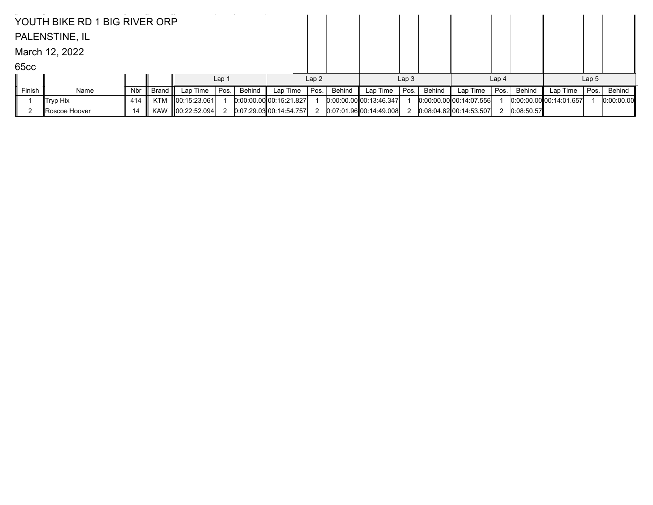|        | YOUTH BIKE RD 1 BIG RIVER ORP |     |            |                    |                  |        |                           |      |        |                                 |                  |        |                           |                  |               |                             |                  |            |
|--------|-------------------------------|-----|------------|--------------------|------------------|--------|---------------------------|------|--------|---------------------------------|------------------|--------|---------------------------|------------------|---------------|-----------------------------|------------------|------------|
|        | PALENSTINE, IL                |     |            |                    |                  |        |                           |      |        |                                 |                  |        |                           |                  |               |                             |                  |            |
|        | March 12, 2022                |     |            |                    |                  |        |                           |      |        |                                 |                  |        |                           |                  |               |                             |                  |            |
| 65cc   |                               |     |            |                    |                  |        |                           |      |        |                                 |                  |        |                           |                  |               |                             |                  |            |
|        |                               |     |            |                    | Lap <sub>1</sub> |        |                           | Lap2 |        |                                 | Lap <sub>3</sub> |        |                           | Lap <sub>4</sub> |               |                             | Lap <sub>5</sub> |            |
| Finish | Name                          | Nbr | Brand III  | Lap Time           | Pos.             | Behind | Lap Time                  | Pos. | Behind | Lap Time                        | Pos.             | Behind | Lap Time                  | Pos.             | <b>Behind</b> | Lap Time                    | Pos.             | Behind     |
|        | $\ $ Tryp Hix                 | 414 | KTM        | $\ 00:15:23.061\ $ |                  |        | $0:00:00.00$ 00:15:21.827 |      |        | $[0:00:00:00]$ $[00:13:46:347]$ |                  |        | $0:00:00.00$ 00:14:07.556 |                  |               | $[0:00:00.00]$ 00:14:01.657 |                  | 0:00:00.00 |
|        | ∥Roscoe Hoover                | 14  | <b>KAW</b> | $\ 00:22:52.094\ $ |                  |        | $0.07:29.03$ 00:14:54.757 |      |        | 0.07.01.96 00.14.49.008         |                  |        | $0.08:04.62$ 00:14:53.507 |                  | 0:08:50.57    |                             |                  |            |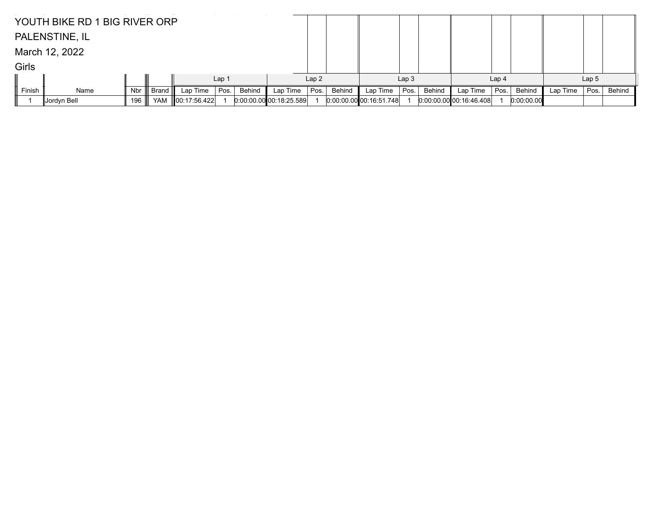|        | YOUTH BIKE RD 1 BIG RIVER ORP |     |         |                    |      |        |                         |      |        |                           |                  |        |                           |                  |            |          |                  |        |
|--------|-------------------------------|-----|---------|--------------------|------|--------|-------------------------|------|--------|---------------------------|------------------|--------|---------------------------|------------------|------------|----------|------------------|--------|
|        | PALENSTINE, IL                |     |         |                    |      |        |                         |      |        |                           |                  |        |                           |                  |            |          |                  |        |
|        | March 12, 2022                |     |         |                    |      |        |                         |      |        |                           |                  |        |                           |                  |            |          |                  |        |
| Girls  |                               |     |         |                    |      |        |                         |      |        |                           |                  |        |                           |                  |            |          |                  |        |
|        | Lap2<br>Lap <sub>1</sub>      |     |         |                    |      |        |                         |      |        |                           | Lap <sub>3</sub> |        |                           | Lap <sub>4</sub> |            |          | Lap <sub>5</sub> |        |
| Finish | Name                          | Nbr | Brand I | Lap Time           | Pos. | Behind | Lap Time                | Pos. | Behind | Lap Time                  | Pos.             | Behind | Lap Time                  | Pos.             | Behind     | Lap Time | Pos.             | Behind |
|        | ∣Jordyn Bell                  | 196 | YAM     | $\ 00:17:56.422\ $ |      |        | 0.00.00.00000:18.25.589 |      |        | $0:00:00.00$ 00:16:51.748 |                  |        | $0.00.00.00$ 00:16:46.408 |                  | 0:00:00.00 |          |                  |        |